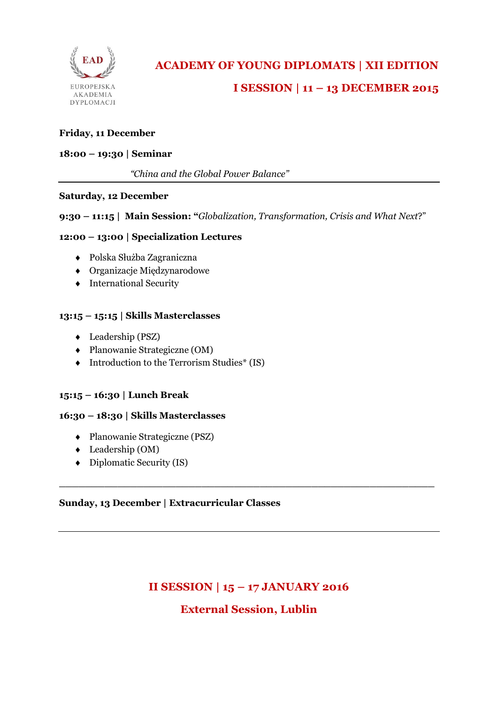

#### **Friday, 11 December**

#### **18:00 – 19:30 | Seminar**

*"China and the Global Power Balance"*

#### **Saturday, 12 December**

#### **9:30 – 11:15 | Main Session: "***Globalization, Transformation, Crisis and What Next*?"

#### **12:00 – 13:00 | Specialization Lectures**

- Polska Służba Zagraniczna
- Organizacje Międzynarodowe
- $\triangleleft$  International Security

#### **13:15 – 15:15 | Skills Masterclasses**

- Leadership (PSZ)
- Planowanie Strategiczne (OM)
- $\blacklozenge$  Introduction to the Terrorism Studies\* (IS)

## **15:15 – 16:30 | Lunch Break**

#### **16:30 – 18:30 | Skills Masterclasses**

- Planowanie Strategiczne (PSZ)
- Leadership (OM)
- $\bullet$  Diplomatic Security (IS)

## **Sunday, 13 December | Extracurricular Classes**

# **II SESSION | 15 – 17 JANUARY 2016**

**\_\_\_\_\_\_\_\_\_\_\_\_\_\_\_\_\_\_\_\_\_\_\_\_\_\_\_\_\_\_\_\_\_\_\_\_\_\_\_\_\_\_\_\_\_\_\_\_\_\_\_\_\_\_\_\_\_\_**

## **External Session, Lublin**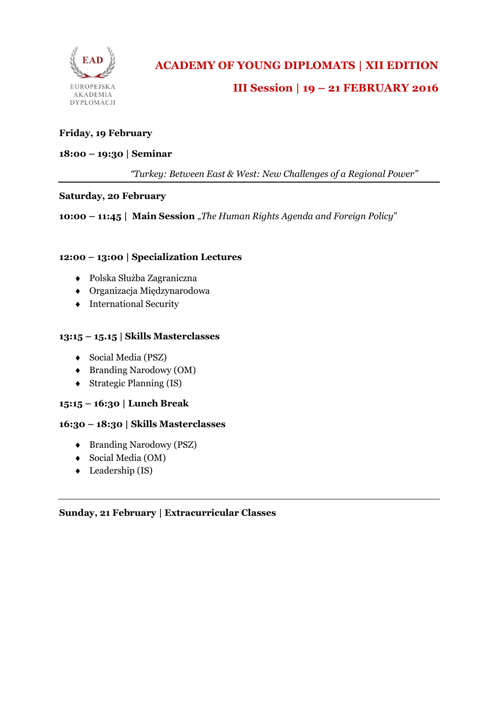

# **III Session | 19 – 21 FEBRUARY 2016**

## **Friday, 19 February**

#### **18:00 – 19:30 | Seminar**

*"Turkey: Between East & West: New Challenges of a Regional Power"*

#### **Saturday, 20 February**

**10:00 – 11:45 | Main Session** "*The Human Rights Agenda and Foreign Policy*"

#### **12:00 – 13:00 | Specialization Lectures**

- Polska Służba Zagraniczna
- Organizacja Międzynarodowa
- $\triangleleft$  International Security

#### **13:15 – 15.15 | Skills Masterclasses**

- Social Media (PSZ)
- Branding Narodowy (OM)
- Strategic Planning (IS)

## **15:15 – 16:30 | Lunch Break**

#### **16:30 – 18:30 | Skills Masterclasses**

- Branding Narodowy (PSZ)
- Social Media (OM)
- ◆ Leadership (IS)

#### **Sunday, 21 February | Extracurricular Classes**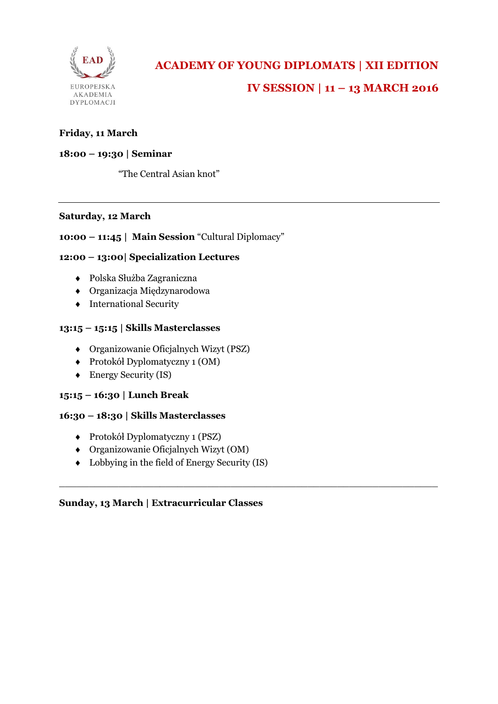

## **Friday, 11 March**

## **18:00 – 19:30 | Seminar**

"The Central Asian knot"

#### **Saturday, 12 March**

## **10:00 – 11:45 | Main Session** "Cultural Diplomacy"

## **12:00 – 13:00| Specialization Lectures**

- Polska Służba Zagraniczna
- Organizacja Międzynarodowa
- $\triangleleft$  International Security

#### **13:15 – 15:15 | Skills Masterclasses**

- Organizowanie Oficjalnych Wizyt (PSZ)
- Protokół Dyplomatyczny 1 (OM)
- Energy Security (IS)

## **15:15 – 16:30 | Lunch Break**

#### **16:30 – 18:30 | Skills Masterclasses**

- Protokół Dyplomatyczny 1 (PSZ)
- Organizowanie Oficjalnych Wizyt (OM)
- Lobbying in the field of Energy Security (IS)

 $\_$  , and the set of the set of the set of the set of the set of the set of the set of the set of the set of the set of the set of the set of the set of the set of the set of the set of the set of the set of the set of th

## **Sunday, 13 March | Extracurricular Classes**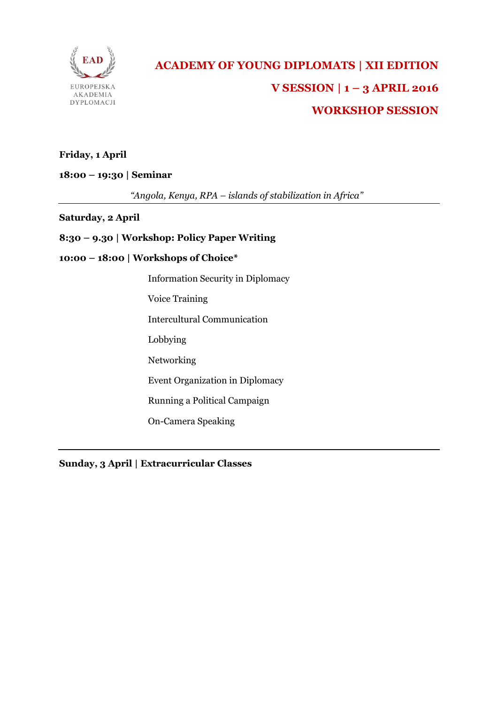

# **ACADEMY OF YOUNG DIPLOMATS | XII EDITION V SESSION | 1 – 3 APRIL 2016 WORKSHOP SESSION**

## **Friday, 1 April**

**18:00 – 19:30 | Seminar**

*"Angola, Kenya, RPA – islands of stabilization in Africa"*

#### **Saturday, 2 April**

## **8:30 – 9.30 | Workshop: Policy Paper Writing**

#### **10:00 – 18:00 | Workshops of Choice\***

Information Security in Diplomacy

Voice Training

Intercultural Communication

Lobbying

Networking

Event Organization in Diplomacy

Running a Political Campaign

On-Camera Speaking

**Sunday, 3 April | Extracurricular Classes**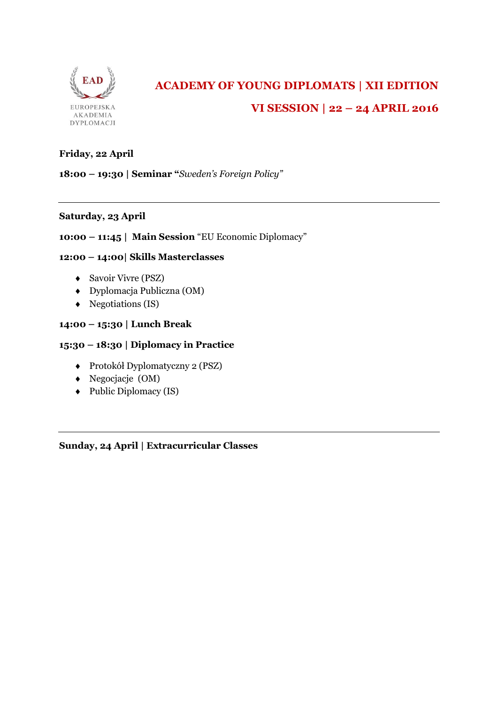

# **ACADEMY OF YOUNG DIPLOMATS | XII EDITION VI SESSION | 22 – 24 APRIL 2016**

## **Friday, 22 April**

**18:00 – 19:30 | Seminar "***Sweden's Foreign Policy"*

## **Saturday, 23 April**

## **10:00 – 11:45 | Main Session** "EU Economic Diplomacy"

## **12:00 – 14:00| Skills Masterclasses**

- ◆ Savoir Vivre (PSZ)
- Dyplomacja Publiczna (OM)
- $\triangleleft$  Negotiations (IS)

#### **14:00 – 15:30 | Lunch Break**

#### **15:30 – 18:30 | Diplomacy in Practice**

- Protokół Dyplomatyczny 2 (PSZ)
- Negocjacje (OM)
- $\leftarrow$  Public Diplomacy (IS)

**Sunday, 24 April | Extracurricular Classes**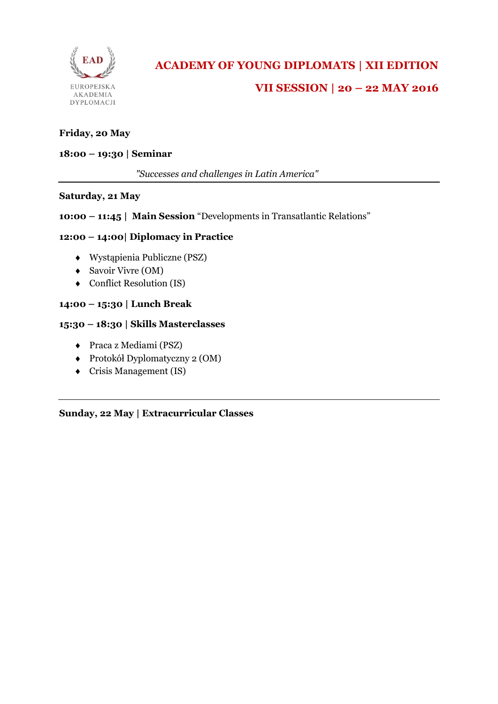

#### **Friday, 20 May**

#### **18:00 – 19:30 | Seminar**

*"Successes and challenges in Latin America"*

#### **Saturday, 21 May**

#### **10:00 – 11:45 | Main Session** "Developments in Transatlantic Relations"

#### **12:00 – 14:00| Diplomacy in Practice**

- Wystąpienia Publiczne (PSZ)
- Savoir Vivre (OM)
- ◆ Conflict Resolution (IS)

#### **14:00 – 15:30 | Lunch Break**

#### **15:30 – 18:30 | Skills Masterclasses**

- Praca z Mediami (PSZ)
- Protokół Dyplomatyczny 2 (OM)
- Crisis Management (IS)

**Sunday, 22 May | Extracurricular Classes**